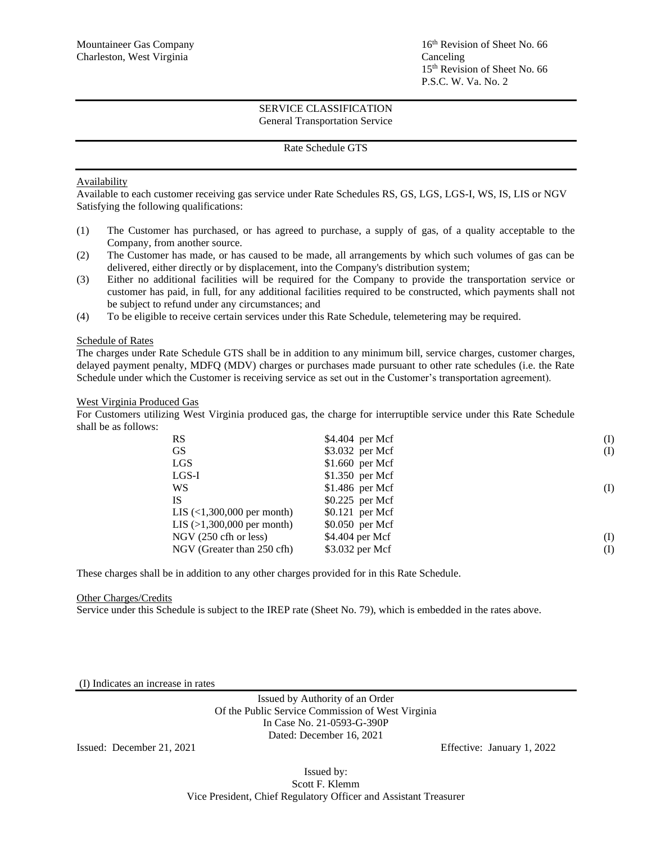16<sup>th</sup> Revision of Sheet No. 66 15 th Revision of Sheet No. 66 P.S.C. W. Va. No. 2

#### SERVICE CLASSIFICATION General Transportation Service

#### Rate Schedule GTS

## Availability

Available to each customer receiving gas service under Rate Schedules RS, GS, LGS, LGS-I, WS, IS, LIS or NGV Satisfying the following qualifications:

- (1) The Customer has purchased, or has agreed to purchase, a supply of gas, of a quality acceptable to the Company, from another source.
- (2) The Customer has made, or has caused to be made, all arrangements by which such volumes of gas can be delivered, either directly or by displacement, into the Company's distribution system;
- (3) Either no additional facilities will be required for the Company to provide the transportation service or customer has paid, in full, for any additional facilities required to be constructed, which payments shall not be subject to refund under any circumstances; and
- (4) To be eligible to receive certain services under this Rate Schedule, telemetering may be required.

#### Schedule of Rates

The charges under Rate Schedule GTS shall be in addition to any minimum bill, service charges, customer charges, delayed payment penalty, MDFQ (MDV) charges or purchases made pursuant to other rate schedules (i.e. the Rate Schedule under which the Customer is receiving service as set out in the Customer's transportation agreement).

#### West Virginia Produced Gas

For Customers utilizing West Virginia produced gas, the charge for interruptible service under this Rate Schedule shall be as follows:

| <b>RS</b>                    | $$4.404$ per Mcf | (I) |
|------------------------------|------------------|-----|
| <b>GS</b>                    | \$3.032 per Mcf  | (I) |
| <b>LGS</b>                   | $$1.660$ per Mcf |     |
| $LGS-I$                      | $$1.350$ per Mcf |     |
| WS                           | $$1.486$ per Mcf | (I) |
| <b>IS</b>                    | $$0.225$ per Mcf |     |
| LIS $(1,300,000$ per month)  | $$0.121$ per Mcf |     |
| LIS $(>1,300,000$ per month) | \$0.050 per Mcf  |     |
| $NGV$ (250 cfh or less)      | \$4.404 per Mcf  | (I) |
| NGV (Greater than 250 cfh)   | \$3.032 per Mcf  | (I) |

These charges shall be in addition to any other charges provided for in this Rate Schedule.

#### Other Charges/Credits

Service under this Schedule is subject to the IREP rate (Sheet No. 79), which is embedded in the rates above.

(I) Indicates an increase in rates

Issued by Authority of an Order Of the Public Service Commission of West Virginia In Case No. 21-0593-G-390P Dated: December 16, 2021

Issued: December 21, 2021 Effective: January 1, 2022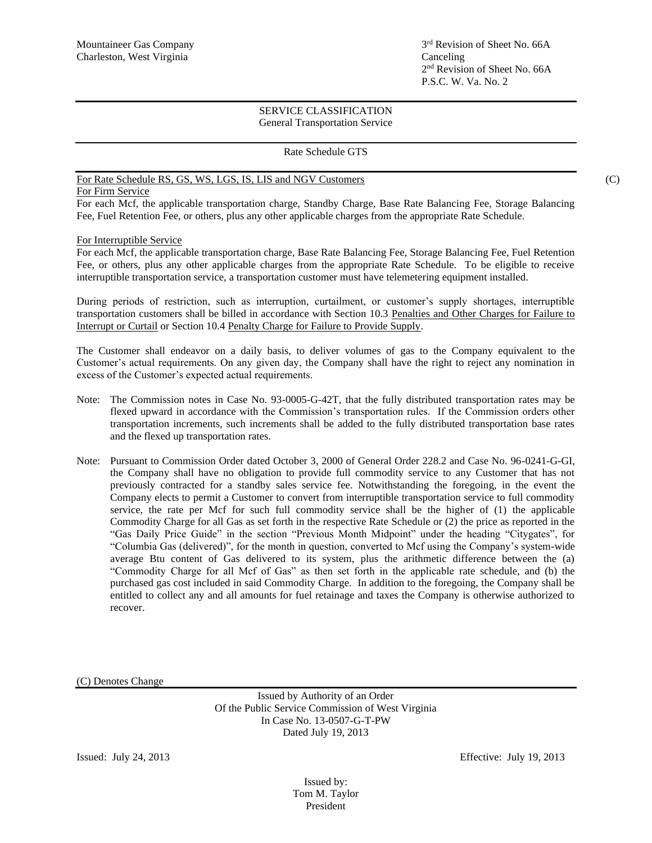### Rate Schedule GTS

# For Rate Schedule RS, GS, WS, LGS, IS, LIS and NGV Customers (C)

### For Firm Service

For each Mcf, the applicable transportation charge, Standby Charge, Base Rate Balancing Fee, Storage Balancing Fee, Fuel Retention Fee, or others, plus any other applicable charges from the appropriate Rate Schedule.

### For Interruptible Service

For each Mcf, the applicable transportation charge, Base Rate Balancing Fee, Storage Balancing Fee, Fuel Retention Fee, or others, plus any other applicable charges from the appropriate Rate Schedule. To be eligible to receive interruptible transportation service, a transportation customer must have telemetering equipment installed.

During periods of restriction, such as interruption, curtailment, or customer's supply shortages, interruptible transportation customers shall be billed in accordance with Section 10.3 Penalties and Other Charges for Failure to Interrupt or Curtail or Section 10.4 Penalty Charge for Failure to Provide Supply.

The Customer shall endeavor on a daily basis, to deliver volumes of gas to the Company equivalent to the Customer's actual requirements. On any given day, the Company shall have the right to reject any nomination in excess of the Customer's expected actual requirements.

- Note: The Commission notes in Case No. 93-0005-G-42T, that the fully distributed transportation rates may be flexed upward in accordance with the Commission's transportation rules. If the Commission orders other transportation increments, such increments shall be added to the fully distributed transportation base rates and the flexed up transportation rates.
- Note: Pursuant to Commission Order dated October 3, 2000 of General Order 228.2 and Case No. 96-0241-G-GI, the Company shall have no obligation to provide full commodity service to any Customer that has not previously contracted for a standby sales service fee. Notwithstanding the foregoing, in the event the Company elects to permit a Customer to convert from interruptible transportation service to full commodity service, the rate per Mcf for such full commodity service shall be the higher of (1) the applicable Commodity Charge for all Gas as set forth in the respective Rate Schedule or (2) the price as reported in the "Gas Daily Price Guide" in the section "Previous Month Midpoint" under the heading "Citygates", for "Columbia Gas (delivered)", for the month in question, converted to Mcf using the Company's system-wide average Btu content of Gas delivered to its system, plus the arithmetic difference between the (a) "Commodity Charge for all Mcf of Gas" as then set forth in the applicable rate schedule, and (b) the purchased gas cost included in said Commodity Charge. In addition to the foregoing, the Company shall be entitled to collect any and all amounts for fuel retainage and taxes the Company is otherwise authorized to recover.

(C) Denotes Change

Issued by Authority of an Order Of the Public Service Commission of West Virginia In Case No. 13-0507-G-T-PW Dated July 19, 2013

Issued: July 24, 2013 Effective: July 19, 2013

Issued by: Tom M. Taylor President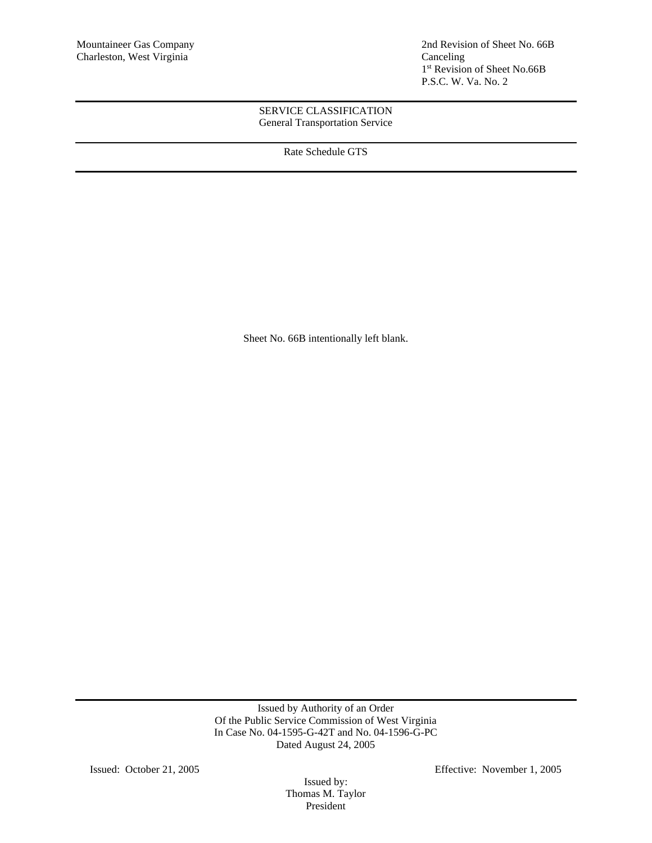Mountaineer Gas Company 2nd Revision of Sheet No. 66B 1 st Revision of Sheet No.66B P.S.C. W. Va. No. 2

# SERVICE CLASSIFICATION General Transportation Service

Rate Schedule GTS

Sheet No. 66B intentionally left blank.

Issued by Authority of an Order Of the Public Service Commission of West Virginia In Case No. 04-1595-G-42T and No. 04-1596-G-PC Dated August 24, 2005

Issued by: Thomas M. Taylor President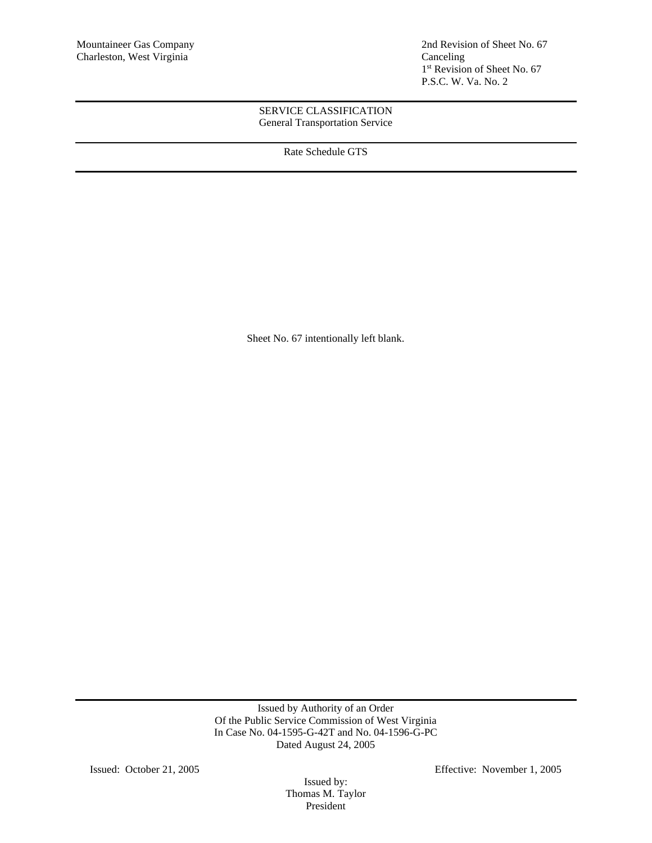Mountaineer Gas Company 2nd Revision of Sheet No. 67 1 st Revision of Sheet No. 67 P.S.C. W. Va. No. 2

## SERVICE CLASSIFICATION General Transportation Service

Rate Schedule GTS

Sheet No. 67 intentionally left blank.

Issued by Authority of an Order Of the Public Service Commission of West Virginia In Case No. 04-1595-G-42T and No. 04-1596-G-PC Dated August 24, 2005

Issued by: Thomas M. Taylor President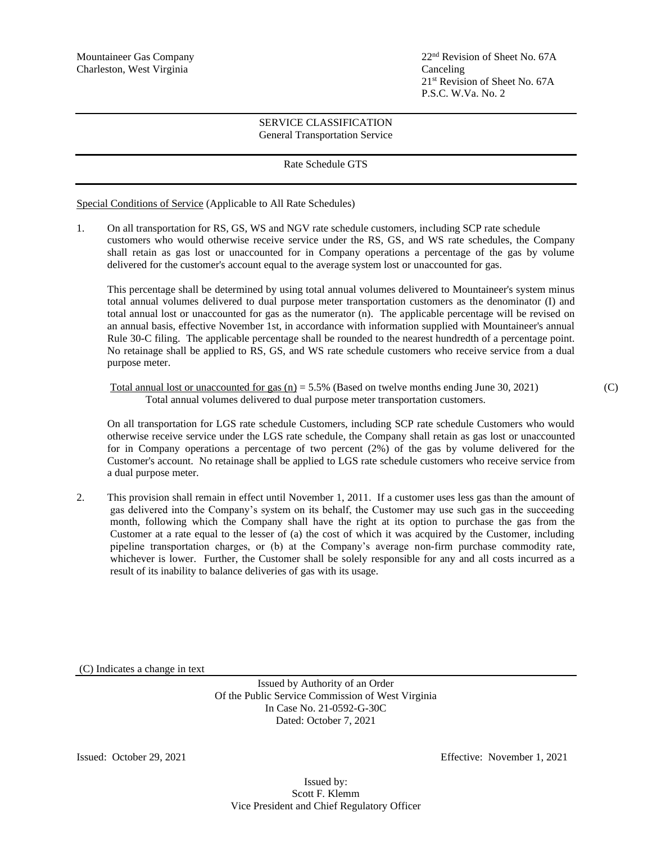$22<sup>nd</sup>$  Revision of Sheet No. 67A 21 st Revision of Sheet No. 67A P.S.C. W.Va. No. 2

## SERVICE CLASSIFICATION General Transportation Service

### Rate Schedule GTS

Special Conditions of Service (Applicable to All Rate Schedules)

1. On all transportation for RS, GS, WS and NGV rate schedule customers, including SCP rate schedule customers who would otherwise receive service under the RS, GS, and WS rate schedules, the Company shall retain as gas lost or unaccounted for in Company operations a percentage of the gas by volume delivered for the customer's account equal to the average system lost or unaccounted for gas.

This percentage shall be determined by using total annual volumes delivered to Mountaineer's system minus total annual volumes delivered to dual purpose meter transportation customers as the denominator (I) and total annual lost or unaccounted for gas as the numerator (n). The applicable percentage will be revised on an annual basis, effective November 1st, in accordance with information supplied with Mountaineer's annual Rule 30-C filing. The applicable percentage shall be rounded to the nearest hundredth of a percentage point. No retainage shall be applied to RS, GS, and WS rate schedule customers who receive service from a dual purpose meter.

Total annual lost or unaccounted for gas  $(n) = 5.5\%$  (Based on twelve months ending June 30, 2021) (C) Total annual volumes delivered to dual purpose meter transportation customers.

On all transportation for LGS rate schedule Customers, including SCP rate schedule Customers who would otherwise receive service under the LGS rate schedule, the Company shall retain as gas lost or unaccounted for in Company operations a percentage of two percent (2%) of the gas by volume delivered for the Customer's account. No retainage shall be applied to LGS rate schedule customers who receive service from a dual purpose meter.

2. This provision shall remain in effect until November 1, 2011. If a customer uses less gas than the amount of gas delivered into the Company's system on its behalf, the Customer may use such gas in the succeeding month, following which the Company shall have the right at its option to purchase the gas from the Customer at a rate equal to the lesser of (a) the cost of which it was acquired by the Customer, including pipeline transportation charges, or (b) at the Company's average non-firm purchase commodity rate, whichever is lower. Further, the Customer shall be solely responsible for any and all costs incurred as a result of its inability to balance deliveries of gas with its usage.

(C) Indicates a change in text

Issued by Authority of an Order Of the Public Service Commission of West Virginia In Case No. 21-0592-G-30C Dated: October 7, 2021

Issued: October 29, 2021 Effective: November 1, 2021

Issued by: Scott F. Klemm Vice President and Chief Regulatory Officer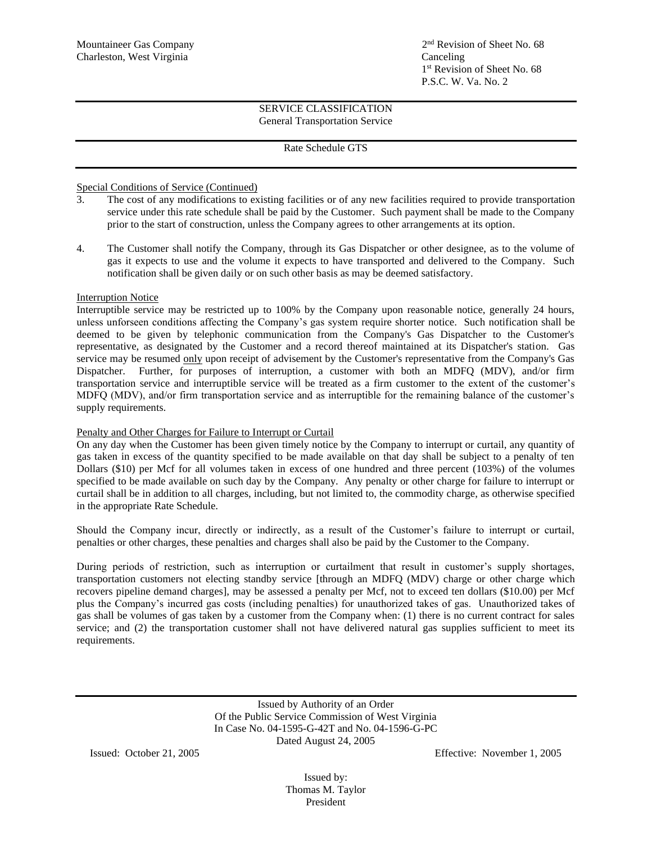## Rate Schedule GTS

# Special Conditions of Service (Continued)

- 3. The cost of any modifications to existing facilities or of any new facilities required to provide transportation service under this rate schedule shall be paid by the Customer. Such payment shall be made to the Company prior to the start of construction, unless the Company agrees to other arrangements at its option.
- 4. The Customer shall notify the Company, through its Gas Dispatcher or other designee, as to the volume of gas it expects to use and the volume it expects to have transported and delivered to the Company. Such notification shall be given daily or on such other basis as may be deemed satisfactory.

# Interruption Notice

Interruptible service may be restricted up to 100% by the Company upon reasonable notice, generally 24 hours, unless unforseen conditions affecting the Company's gas system require shorter notice. Such notification shall be deemed to be given by telephonic communication from the Company's Gas Dispatcher to the Customer's representative, as designated by the Customer and a record thereof maintained at its Dispatcher's station. Gas service may be resumed only upon receipt of advisement by the Customer's representative from the Company's Gas Dispatcher. Further, for purposes of interruption, a customer with both an MDFQ (MDV), and/or firm transportation service and interruptible service will be treated as a firm customer to the extent of the customer's MDFQ (MDV), and/or firm transportation service and as interruptible for the remaining balance of the customer's supply requirements.

# Penalty and Other Charges for Failure to Interrupt or Curtail

On any day when the Customer has been given timely notice by the Company to interrupt or curtail, any quantity of gas taken in excess of the quantity specified to be made available on that day shall be subject to a penalty of ten Dollars (\$10) per Mcf for all volumes taken in excess of one hundred and three percent (103%) of the volumes specified to be made available on such day by the Company. Any penalty or other charge for failure to interrupt or curtail shall be in addition to all charges, including, but not limited to, the commodity charge, as otherwise specified in the appropriate Rate Schedule.

Should the Company incur, directly or indirectly, as a result of the Customer's failure to interrupt or curtail, penalties or other charges, these penalties and charges shall also be paid by the Customer to the Company.

During periods of restriction, such as interruption or curtailment that result in customer's supply shortages, transportation customers not electing standby service [through an MDFQ (MDV) charge or other charge which recovers pipeline demand charges], may be assessed a penalty per Mcf, not to exceed ten dollars (\$10.00) per Mcf plus the Company's incurred gas costs (including penalties) for unauthorized takes of gas. Unauthorized takes of gas shall be volumes of gas taken by a customer from the Company when: (1) there is no current contract for sales service; and (2) the transportation customer shall not have delivered natural gas supplies sufficient to meet its requirements.

> Issued by Authority of an Order Of the Public Service Commission of West Virginia In Case No. 04-1595-G-42T and No. 04-1596-G-PC Dated August 24, 2005

Issued: October 21, 2005 Effective: November 1, 2005

Issued by: Thomas M. Taylor President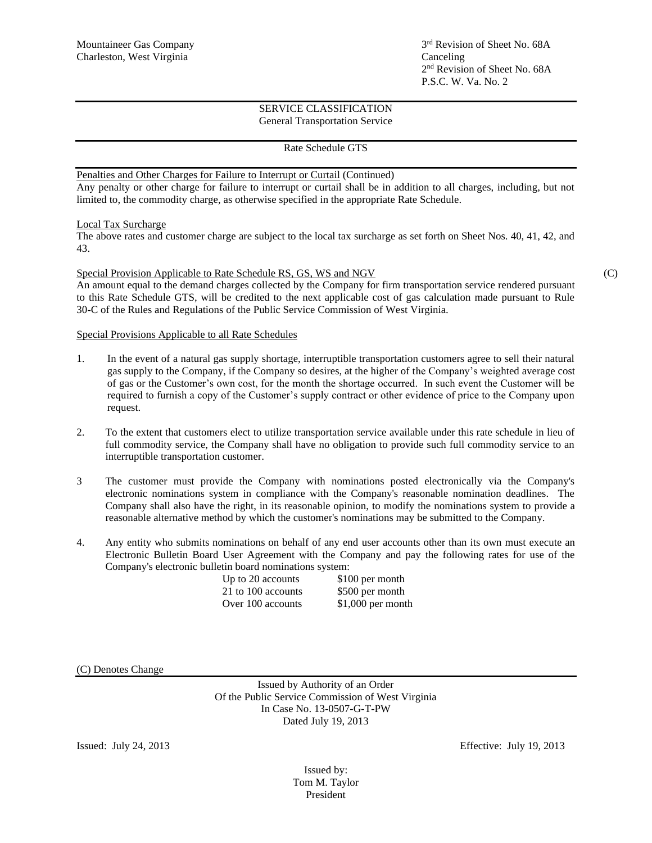## Rate Schedule GTS

Penalties and Other Charges for Failure to Interrupt or Curtail (Continued)

Any penalty or other charge for failure to interrupt or curtail shall be in addition to all charges, including, but not limited to, the commodity charge, as otherwise specified in the appropriate Rate Schedule.

Local Tax Surcharge

The above rates and customer charge are subject to the local tax surcharge as set forth on Sheet Nos. 40, 41, 42, and 43.

#### Special Provision Applicable to Rate Schedule RS, GS, WS and NGV (C)

An amount equal to the demand charges collected by the Company for firm transportation service rendered pursuant to this Rate Schedule GTS, will be credited to the next applicable cost of gas calculation made pursuant to Rule 30-C of the Rules and Regulations of the Public Service Commission of West Virginia.

## Special Provisions Applicable to all Rate Schedules

- 1. In the event of a natural gas supply shortage, interruptible transportation customers agree to sell their natural gas supply to the Company, if the Company so desires, at the higher of the Company's weighted average cost of gas or the Customer's own cost, for the month the shortage occurred. In such event the Customer will be required to furnish a copy of the Customer's supply contract or other evidence of price to the Company upon request.
- 2. To the extent that customers elect to utilize transportation service available under this rate schedule in lieu of full commodity service, the Company shall have no obligation to provide such full commodity service to an interruptible transportation customer.
- 3 The customer must provide the Company with nominations posted electronically via the Company's electronic nominations system in compliance with the Company's reasonable nomination deadlines. The Company shall also have the right, in its reasonable opinion, to modify the nominations system to provide a reasonable alternative method by which the customer's nominations may be submitted to the Company.
- 4. Any entity who submits nominations on behalf of any end user accounts other than its own must execute an Electronic Bulletin Board User Agreement with the Company and pay the following rates for use of the Company's electronic bulletin board nominations system:

| Up to 20 accounts  |  |
|--------------------|--|
| 21 to 100 accounts |  |
| Over 100 accounts  |  |

 $$100$  per month \$500 per month  $$1,000$  per month

(C) Denotes Change

Issued by Authority of an Order Of the Public Service Commission of West Virginia In Case No. 13-0507-G-T-PW Dated July 19, 2013

Issued: July 24, 2013 Effective: July 19, 2013

Issued by: Tom M. Taylor President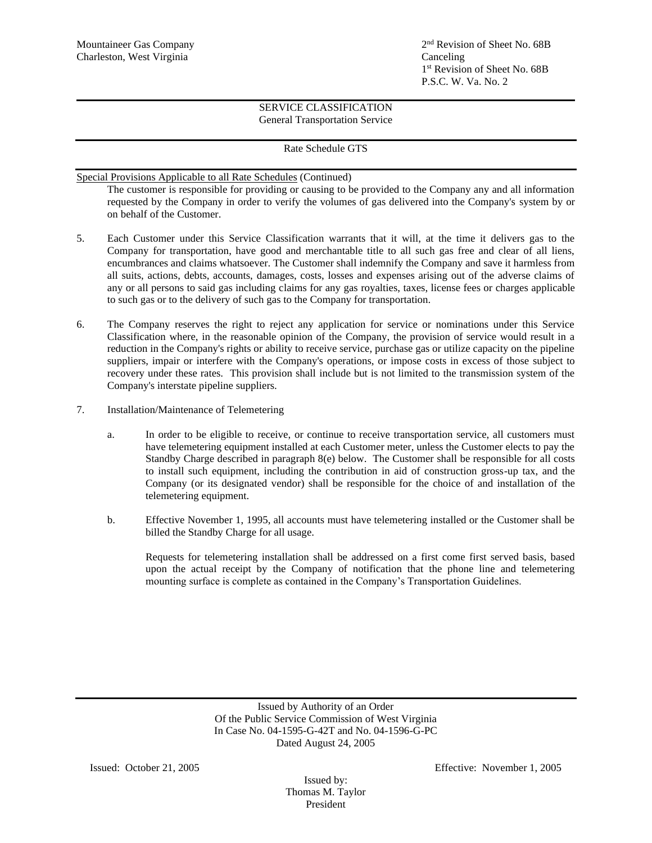# Rate Schedule GTS

Special Provisions Applicable to all Rate Schedules (Continued)

The customer is responsible for providing or causing to be provided to the Company any and all information requested by the Company in order to verify the volumes of gas delivered into the Company's system by or on behalf of the Customer.

- 5. Each Customer under this Service Classification warrants that it will, at the time it delivers gas to the Company for transportation, have good and merchantable title to all such gas free and clear of all liens, encumbrances and claims whatsoever. The Customer shall indemnify the Company and save it harmless from all suits, actions, debts, accounts, damages, costs, losses and expenses arising out of the adverse claims of any or all persons to said gas including claims for any gas royalties, taxes, license fees or charges applicable to such gas or to the delivery of such gas to the Company for transportation.
- 6. The Company reserves the right to reject any application for service or nominations under this Service Classification where, in the reasonable opinion of the Company, the provision of service would result in a reduction in the Company's rights or ability to receive service, purchase gas or utilize capacity on the pipeline suppliers, impair or interfere with the Company's operations, or impose costs in excess of those subject to recovery under these rates. This provision shall include but is not limited to the transmission system of the Company's interstate pipeline suppliers.
- 7. Installation/Maintenance of Telemetering
	- a. In order to be eligible to receive, or continue to receive transportation service, all customers must have telemetering equipment installed at each Customer meter, unless the Customer elects to pay the Standby Charge described in paragraph  $8(e)$  below. The Customer shall be responsible for all costs to install such equipment, including the contribution in aid of construction gross-up tax, and the Company (or its designated vendor) shall be responsible for the choice of and installation of the telemetering equipment.
	- b. Effective November 1, 1995, all accounts must have telemetering installed or the Customer shall be billed the Standby Charge for all usage.

Requests for telemetering installation shall be addressed on a first come first served basis, based upon the actual receipt by the Company of notification that the phone line and telemetering mounting surface is complete as contained in the Company's Transportation Guidelines.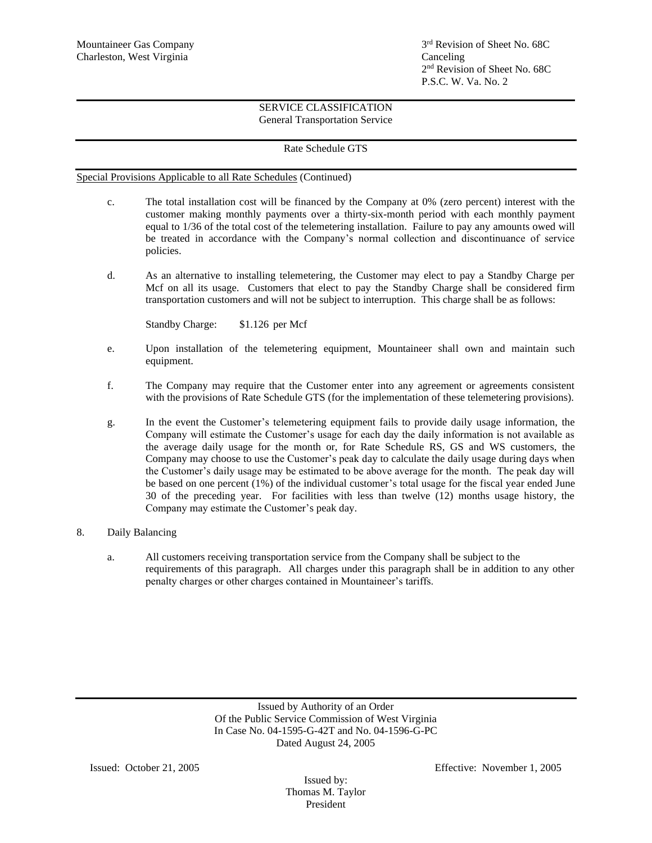# Rate Schedule GTS

Special Provisions Applicable to all Rate Schedules (Continued)

- c. The total installation cost will be financed by the Company at 0% (zero percent) interest with the customer making monthly payments over a thirty-six-month period with each monthly payment equal to 1/36 of the total cost of the telemetering installation. Failure to pay any amounts owed will be treated in accordance with the Company's normal collection and discontinuance of service policies.
- d. As an alternative to installing telemetering, the Customer may elect to pay a Standby Charge per Mcf on all its usage. Customers that elect to pay the Standby Charge shall be considered firm transportation customers and will not be subject to interruption. This charge shall be as follows:

Standby Charge: \$1.126 per Mcf

- e. Upon installation of the telemetering equipment, Mountaineer shall own and maintain such equipment.
- f. The Company may require that the Customer enter into any agreement or agreements consistent with the provisions of Rate Schedule GTS (for the implementation of these telemetering provisions).
- g. In the event the Customer's telemetering equipment fails to provide daily usage information, the Company will estimate the Customer's usage for each day the daily information is not available as the average daily usage for the month or, for Rate Schedule RS, GS and WS customers, the Company may choose to use the Customer's peak day to calculate the daily usage during days when the Customer's daily usage may be estimated to be above average for the month. The peak day will be based on one percent (1%) of the individual customer's total usage for the fiscal year ended June 30 of the preceding year. For facilities with less than twelve (12) months usage history, the Company may estimate the Customer's peak day.

# 8. Daily Balancing

a. All customers receiving transportation service from the Company shall be subject to the requirements of this paragraph. All charges under this paragraph shall be in addition to any other penalty charges or other charges contained in Mountaineer's tariffs.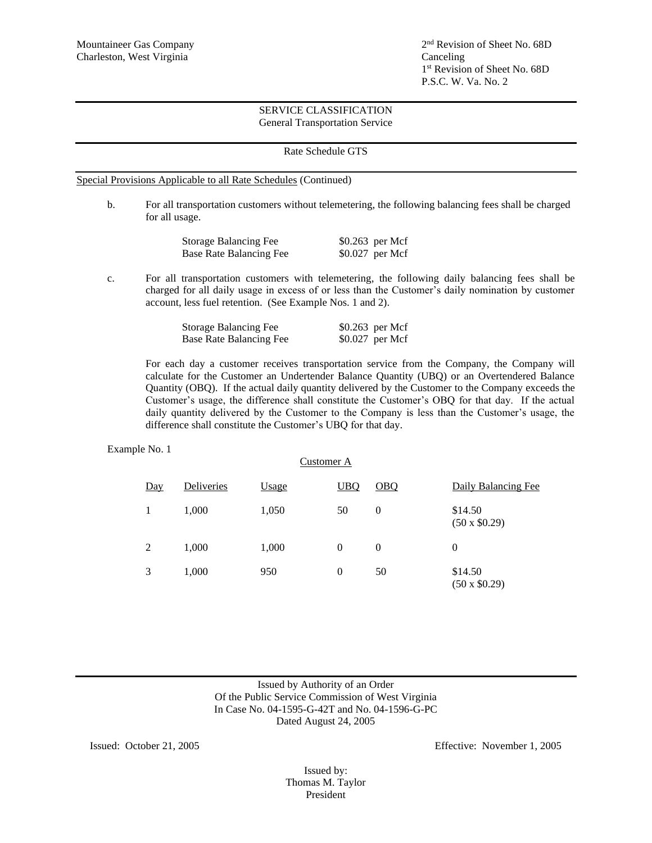2<sup>nd</sup> Revision of Sheet No. 68D 1 st Revision of Sheet No. 68D P.S.C. W. Va. No. 2

### SERVICE CLASSIFICATION General Transportation Service

#### Rate Schedule GTS

Special Provisions Applicable to all Rate Schedules (Continued)

b. For all transportation customers without telemetering, the following balancing fees shall be charged for all usage.

| <b>Storage Balancing Fee</b> | $$0.263$ per Mcf |
|------------------------------|------------------|
| Base Rate Balancing Fee      | $$0.027$ per Mcf |

c. For all transportation customers with telemetering, the following daily balancing fees shall be charged for all daily usage in excess of or less than the Customer's daily nomination by customer account, less fuel retention. (See Example Nos. 1 and 2).

| <b>Storage Balancing Fee</b>   | \$0.263 per Mcf |  |
|--------------------------------|-----------------|--|
| <b>Base Rate Balancing Fee</b> | \$0.027 per Mcf |  |

For each day a customer receives transportation service from the Company, the Company will calculate for the Customer an Undertender Balance Quantity (UBQ) or an Overtendered Balance Quantity (OBQ). If the actual daily quantity delivered by the Customer to the Company exceeds the Customer's usage, the difference shall constitute the Customer's OBQ for that day. If the actual daily quantity delivered by the Customer to the Company is less than the Customer's usage, the difference shall constitute the Customer's UBQ for that day.

#### Example No. 1

|                   |            | Customer A   |            |                |                                |
|-------------------|------------|--------------|------------|----------------|--------------------------------|
| $\underline{Day}$ | Deliveries | <b>Usage</b> | <b>UBQ</b> | OBO            | Daily Balancing Fee            |
|                   | 1,000      | 1,050        | 50         | $\overline{0}$ | \$14.50<br>$(50 \times $0.29)$ |
| 2                 | 1,000      | 1,000        | $\theta$   | $\theta$       | $\overline{0}$                 |
| 3                 | 1,000      | 950          | $\theta$   | 50             | \$14.50<br>$(50 \times $0.29)$ |

# Issued by Authority of an Order Of the Public Service Commission of West Virginia In Case No. 04-1595-G-42T and No. 04-1596-G-PC Dated August 24, 2005

Issued: October 21, 2005 Effective: November 1, 2005

Issued by: Thomas M. Taylor President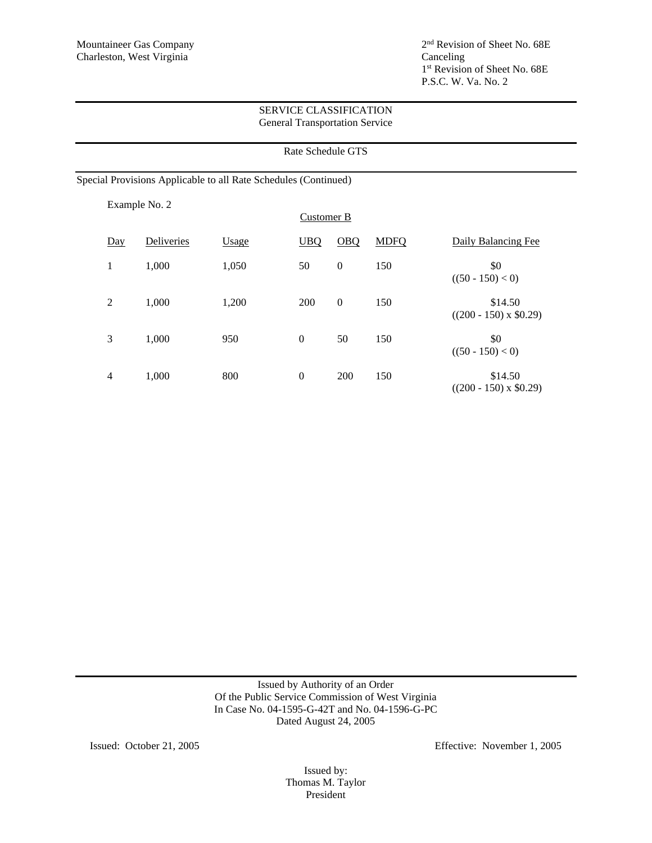|                |               |                                                                 |                  | Rate Schedule GTS |             |                                         |
|----------------|---------------|-----------------------------------------------------------------|------------------|-------------------|-------------|-----------------------------------------|
|                |               | Special Provisions Applicable to all Rate Schedules (Continued) |                  |                   |             |                                         |
|                | Example No. 2 |                                                                 | Customer B       |                   |             |                                         |
| Day            | Deliveries    | Usage                                                           | <b>UBQ</b>       | <b>OBQ</b>        | <b>MDFQ</b> | Daily Balancing Fee                     |
| 1              | 1,000         | 1,050                                                           | 50               | $\boldsymbol{0}$  | 150         | \$0<br>$((50 - 150) < 0)$               |
| $\overline{2}$ | 1,000         | 1,200                                                           | 200              | $\boldsymbol{0}$  | 150         | \$14.50<br>$((200 - 150) \times $0.29)$ |
| 3              | 1,000         | 950                                                             | $\boldsymbol{0}$ | 50                | 150         | \$0<br>$((50 - 150) < 0)$               |
| $\overline{4}$ | 1,000         | 800                                                             | $\boldsymbol{0}$ | 200               | 150         | \$14.50<br>$((200 - 150) \times $0.29)$ |

Issued by Authority of an Order Of the Public Service Commission of West Virginia In Case No. 04-1595-G-42T and No. 04-1596-G-PC Dated August 24, 2005

Issued: October 21, 2005 Effective: November 1, 2005

Issued by: Thomas M. Taylor President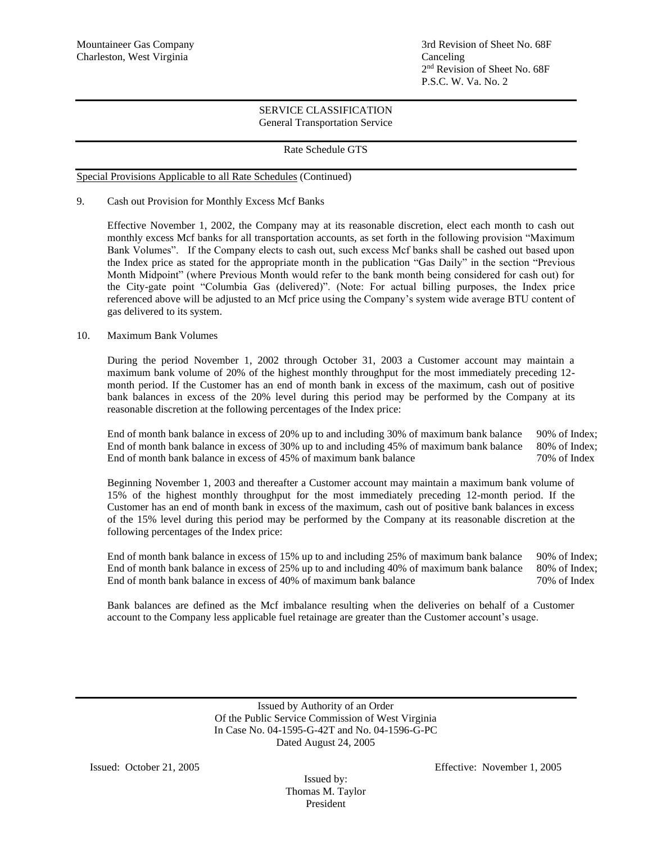Mountaineer Gas Company 3rd Revision of Sheet No. 68F 2 nd Revision of Sheet No. 68F P.S.C. W. Va. No. 2

### SERVICE CLASSIFICATION General Transportation Service

# Rate Schedule GTS

## Special Provisions Applicable to all Rate Schedules (Continued)

9. Cash out Provision for Monthly Excess Mcf Banks

Effective November 1, 2002, the Company may at its reasonable discretion, elect each month to cash out monthly excess Mcf banks for all transportation accounts, as set forth in the following provision "Maximum Bank Volumes". If the Company elects to cash out, such excess Mcf banks shall be cashed out based upon the Index price as stated for the appropriate month in the publication "Gas Daily" in the section "Previous Month Midpoint" (where Previous Month would refer to the bank month being considered for cash out) for the City-gate point "Columbia Gas (delivered)". (Note: For actual billing purposes, the Index price referenced above will be adjusted to an Mcf price using the Company's system wide average BTU content of gas delivered to its system.

## 10. Maximum Bank Volumes

During the period November 1, 2002 through October 31, 2003 a Customer account may maintain a maximum bank volume of 20% of the highest monthly throughput for the most immediately preceding 12 month period. If the Customer has an end of month bank in excess of the maximum, cash out of positive bank balances in excess of the 20% level during this period may be performed by the Company at its reasonable discretion at the following percentages of the Index price:

End of month bank balance in excess of 20% up to and including 30% of maximum bank balance 90% of Index; End of month bank balance in excess of 30% up to and including 45% of maximum bank balance 80% of Index; End of month bank balance in excess of 45% of maximum bank balance 70% of Index

Beginning November 1, 2003 and thereafter a Customer account may maintain a maximum bank volume of 15% of the highest monthly throughput for the most immediately preceding 12-month period. If the Customer has an end of month bank in excess of the maximum, cash out of positive bank balances in excess of the 15% level during this period may be performed by the Company at its reasonable discretion at the following percentages of the Index price:

End of month bank balance in excess of 15% up to and including 25% of maximum bank balance 90% of Index; End of month bank balance in excess of 25% up to and including 40% of maximum bank balance 80% of Index; End of month bank balance in excess of 40% of maximum bank balance 70% of Index

Bank balances are defined as the Mcf imbalance resulting when the deliveries on behalf of a Customer account to the Company less applicable fuel retainage are greater than the Customer account's usage.

> Issued by Authority of an Order Of the Public Service Commission of West Virginia In Case No. 04-1595-G-42T and No. 04-1596-G-PC Dated August 24, 2005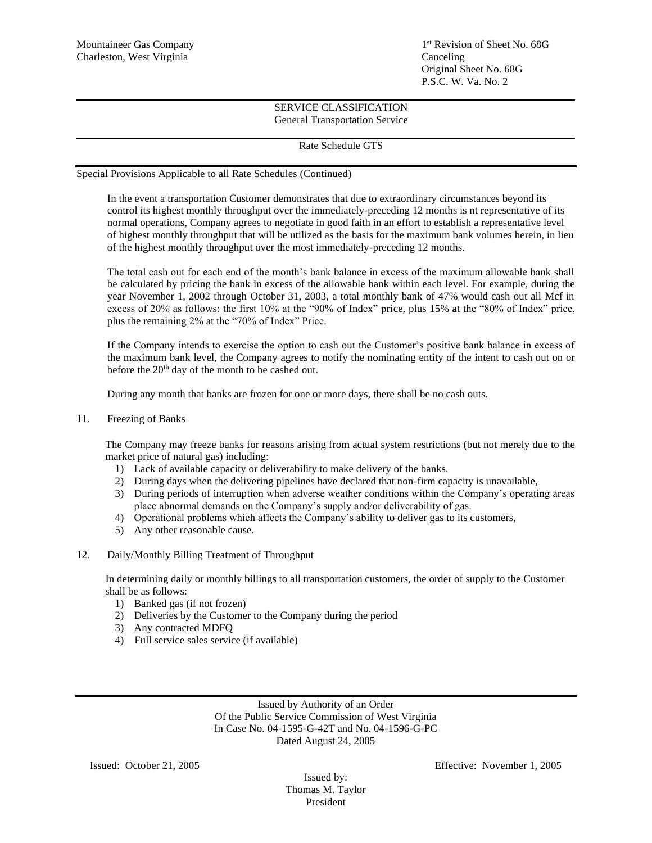1<sup>st</sup> Revision of Sheet No. 68G Original Sheet No. 68G P.S.C. W. Va. No. 2

# SERVICE CLASSIFICATION General Transportation Service

# Rate Schedule GTS

### Special Provisions Applicable to all Rate Schedules (Continued)

In the event a transportation Customer demonstrates that due to extraordinary circumstances beyond its control its highest monthly throughput over the immediately-preceding 12 months is nt representative of its normal operations, Company agrees to negotiate in good faith in an effort to establish a representative level of highest monthly throughput that will be utilized as the basis for the maximum bank volumes herein, in lieu of the highest monthly throughput over the most immediately-preceding 12 months.

The total cash out for each end of the month's bank balance in excess of the maximum allowable bank shall be calculated by pricing the bank in excess of the allowable bank within each level. For example, during the year November 1, 2002 through October 31, 2003, a total monthly bank of 47% would cash out all Mcf in excess of 20% as follows: the first 10% at the "90% of Index" price, plus 15% at the "80% of Index" price, plus the remaining 2% at the "70% of Index" Price.

If the Company intends to exercise the option to cash out the Customer's positive bank balance in excess of the maximum bank level, the Company agrees to notify the nominating entity of the intent to cash out on or before the 20<sup>th</sup> day of the month to be cashed out.

During any month that banks are frozen for one or more days, there shall be no cash outs.

11. Freezing of Banks

The Company may freeze banks for reasons arising from actual system restrictions (but not merely due to the market price of natural gas) including:

- 1) Lack of available capacity or deliverability to make delivery of the banks.
- 2) During days when the delivering pipelines have declared that non-firm capacity is unavailable,
- 3) During periods of interruption when adverse weather conditions within the Company's operating areas place abnormal demands on the Company's supply and/or deliverability of gas.
- 4) Operational problems which affects the Company's ability to deliver gas to its customers,
- 5) Any other reasonable cause.
- 12. Daily/Monthly Billing Treatment of Throughput

In determining daily or monthly billings to all transportation customers, the order of supply to the Customer shall be as follows:

- 1) Banked gas (if not frozen)
- 2) Deliveries by the Customer to the Company during the period
- 3) Any contracted MDFQ
- 4) Full service sales service (if available)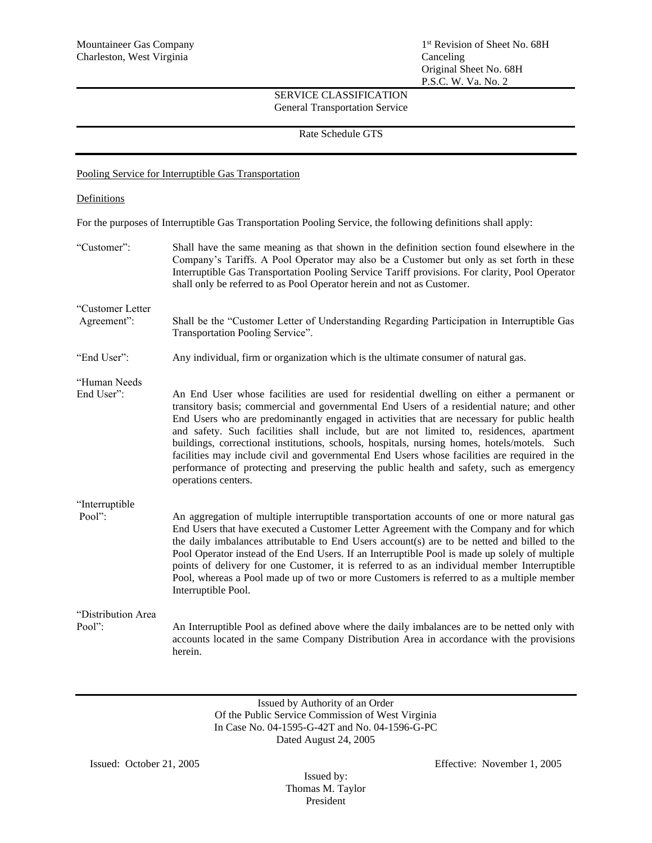Rate Schedule GTS

## Pooling Service for Interruptible Gas Transportation

### **Definitions**

For the purposes of Interruptible Gas Transportation Pooling Service, the following definitions shall apply:

| "Customer":                  | Shall have the same meaning as that shown in the definition section found elsewhere in the<br>Company's Tariffs. A Pool Operator may also be a Customer but only as set forth in these<br>Interruptible Gas Transportation Pooling Service Tariff provisions. For clarity, Pool Operator<br>shall only be referred to as Pool Operator herein and not as Customer.                                                                                                                                                                                                                                                                                                                                 |
|------------------------------|----------------------------------------------------------------------------------------------------------------------------------------------------------------------------------------------------------------------------------------------------------------------------------------------------------------------------------------------------------------------------------------------------------------------------------------------------------------------------------------------------------------------------------------------------------------------------------------------------------------------------------------------------------------------------------------------------|
| "Customer Letter             |                                                                                                                                                                                                                                                                                                                                                                                                                                                                                                                                                                                                                                                                                                    |
| Agreement":                  | Shall be the "Customer Letter of Understanding Regarding Participation in Interruptible Gas<br>Transportation Pooling Service".                                                                                                                                                                                                                                                                                                                                                                                                                                                                                                                                                                    |
| "End User":                  | Any individual, firm or organization which is the ultimate consumer of natural gas.                                                                                                                                                                                                                                                                                                                                                                                                                                                                                                                                                                                                                |
| "Human Needs                 |                                                                                                                                                                                                                                                                                                                                                                                                                                                                                                                                                                                                                                                                                                    |
| End User":                   | An End User whose facilities are used for residential dwelling on either a permanent or<br>transitory basis; commercial and governmental End Users of a residential nature; and other<br>End Users who are predominantly engaged in activities that are necessary for public health<br>and safety. Such facilities shall include, but are not limited to, residences, apartment<br>buildings, correctional institutions, schools, hospitals, nursing homes, hotels/motels. Such<br>facilities may include civil and governmental End Users whose facilities are required in the<br>performance of protecting and preserving the public health and safety, such as emergency<br>operations centers. |
| "Interruptible               |                                                                                                                                                                                                                                                                                                                                                                                                                                                                                                                                                                                                                                                                                                    |
| Pool":                       | An aggregation of multiple interruptible transportation accounts of one or more natural gas<br>End Users that have executed a Customer Letter Agreement with the Company and for which<br>the daily imbalances attributable to End Users account(s) are to be netted and billed to the<br>Pool Operator instead of the End Users. If an Interruptible Pool is made up solely of multiple<br>points of delivery for one Customer, it is referred to as an individual member Interruptible<br>Pool, whereas a Pool made up of two or more Customers is referred to as a multiple member<br>Interruptible Pool.                                                                                       |
| "Distribution Area<br>Pool": | An Interruptible Pool as defined above where the daily imbalances are to be netted only with<br>accounts located in the same Company Distribution Area in accordance with the provisions<br>herein.                                                                                                                                                                                                                                                                                                                                                                                                                                                                                                |

Issued by Authority of an Order Of the Public Service Commission of West Virginia In Case No. 04-1595-G-42T and No. 04-1596-G-PC Dated August 24, 2005

Issued by: Thomas M. Taylor President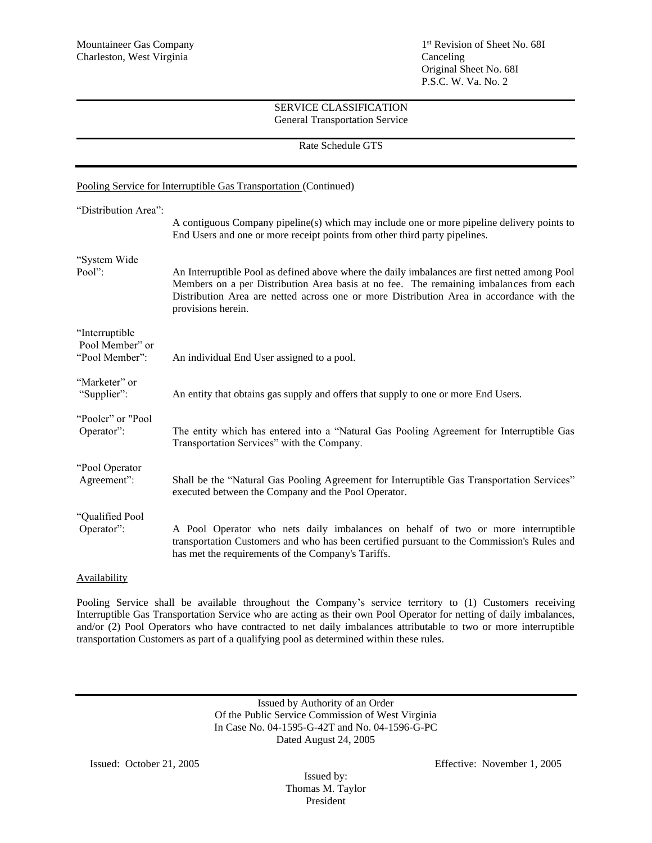#### Rate Schedule GTS

|                                                     | Pooling Service for Interruptible Gas Transportation (Continued)                                                                                                                                                                                                                                          |
|-----------------------------------------------------|-----------------------------------------------------------------------------------------------------------------------------------------------------------------------------------------------------------------------------------------------------------------------------------------------------------|
| "Distribution Area":                                | A contiguous Company pipeline(s) which may include one or more pipeline delivery points to<br>End Users and one or more receipt points from other third party pipelines.                                                                                                                                  |
| "System Wide<br>Pool":                              | An Interruptible Pool as defined above where the daily imbalances are first netted among Pool<br>Members on a per Distribution Area basis at no fee. The remaining imbalances from each<br>Distribution Area are netted across one or more Distribution Area in accordance with the<br>provisions herein. |
| "Interruptible<br>Pool Member" or<br>"Pool Member": | An individual End User assigned to a pool.                                                                                                                                                                                                                                                                |
| "Marketer" or<br>"Supplier":                        | An entity that obtains gas supply and offers that supply to one or more End Users.                                                                                                                                                                                                                        |
| "Pooler" or "Pool<br>Operator":                     | The entity which has entered into a "Natural Gas Pooling Agreement for Interruptible Gas<br>Transportation Services" with the Company.                                                                                                                                                                    |
| "Pool Operator<br>Agreement":                       | Shall be the "Natural Gas Pooling Agreement for Interruptible Gas Transportation Services"<br>executed between the Company and the Pool Operator.                                                                                                                                                         |
| "Qualified Pool<br>Operator":                       | A Pool Operator who nets daily imbalances on behalf of two or more interruptible<br>transportation Customers and who has been certified pursuant to the Commission's Rules and<br>has met the requirements of the Company's Tariffs.                                                                      |
|                                                     |                                                                                                                                                                                                                                                                                                           |

# **Availability**

Pooling Service shall be available throughout the Company's service territory to (1) Customers receiving Interruptible Gas Transportation Service who are acting as their own Pool Operator for netting of daily imbalances, and/or (2) Pool Operators who have contracted to net daily imbalances attributable to two or more interruptible transportation Customers as part of a qualifying pool as determined within these rules.

> Issued by Authority of an Order Of the Public Service Commission of West Virginia In Case No. 04-1595-G-42T and No. 04-1596-G-PC Dated August 24, 2005

Issued by: Thomas M. Taylor President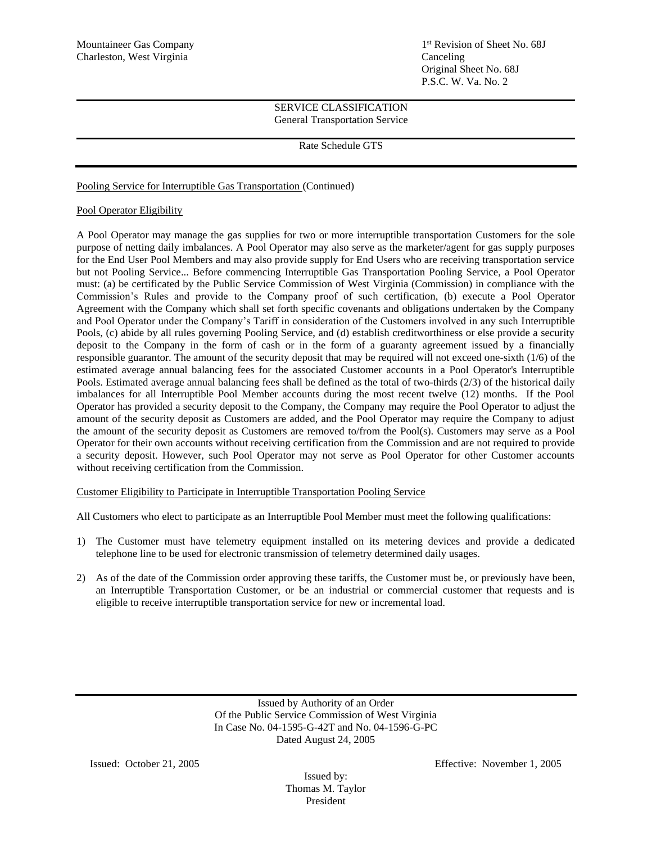1<sup>st</sup> Revision of Sheet No. 68J Original Sheet No. 68J P.S.C. W. Va. No. 2

## SERVICE CLASSIFICATION General Transportation Service

Rate Schedule GTS

# Pooling Service for Interruptible Gas Transportation (Continued)

# Pool Operator Eligibility

A Pool Operator may manage the gas supplies for two or more interruptible transportation Customers for the sole purpose of netting daily imbalances. A Pool Operator may also serve as the marketer/agent for gas supply purposes for the End User Pool Members and may also provide supply for End Users who are receiving transportation service but not Pooling Service... Before commencing Interruptible Gas Transportation Pooling Service, a Pool Operator must: (a) be certificated by the Public Service Commission of West Virginia (Commission) in compliance with the Commission's Rules and provide to the Company proof of such certification, (b) execute a Pool Operator Agreement with the Company which shall set forth specific covenants and obligations undertaken by the Company and Pool Operator under the Company's Tariff in consideration of the Customers involved in any such Interruptible Pools, (c) abide by all rules governing Pooling Service, and (d) establish creditworthiness or else provide a security deposit to the Company in the form of cash or in the form of a guaranty agreement issued by a financially responsible guarantor. The amount of the security deposit that may be required will not exceed one-sixth (1/6) of the estimated average annual balancing fees for the associated Customer accounts in a Pool Operator's Interruptible Pools. Estimated average annual balancing fees shall be defined as the total of two-thirds (2/3) of the historical daily imbalances for all Interruptible Pool Member accounts during the most recent twelve (12) months. If the Pool Operator has provided a security deposit to the Company, the Company may require the Pool Operator to adjust the amount of the security deposit as Customers are added, and the Pool Operator may require the Company to adjust the amount of the security deposit as Customers are removed to/from the Pool(s). Customers may serve as a Pool Operator for their own accounts without receiving certification from the Commission and are not required to provide a security deposit. However, such Pool Operator may not serve as Pool Operator for other Customer accounts without receiving certification from the Commission.

# Customer Eligibility to Participate in Interruptible Transportation Pooling Service

All Customers who elect to participate as an Interruptible Pool Member must meet the following qualifications:

- 1) The Customer must have telemetry equipment installed on its metering devices and provide a dedicated telephone line to be used for electronic transmission of telemetry determined daily usages.
- 2) As of the date of the Commission order approving these tariffs, the Customer must be, or previously have been, an Interruptible Transportation Customer, or be an industrial or commercial customer that requests and is eligible to receive interruptible transportation service for new or incremental load.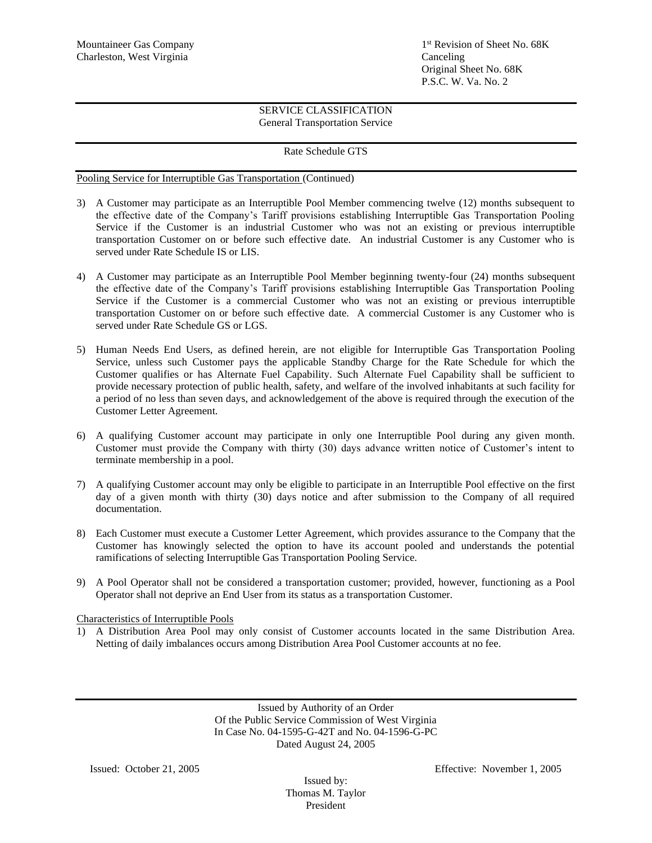## Rate Schedule GTS

Pooling Service for Interruptible Gas Transportation (Continued)

- 3) A Customer may participate as an Interruptible Pool Member commencing twelve (12) months subsequent to the effective date of the Company's Tariff provisions establishing Interruptible Gas Transportation Pooling Service if the Customer is an industrial Customer who was not an existing or previous interruptible transportation Customer on or before such effective date. An industrial Customer is any Customer who is served under Rate Schedule IS or LIS.
- 4) A Customer may participate as an Interruptible Pool Member beginning twenty-four (24) months subsequent the effective date of the Company's Tariff provisions establishing Interruptible Gas Transportation Pooling Service if the Customer is a commercial Customer who was not an existing or previous interruptible transportation Customer on or before such effective date. A commercial Customer is any Customer who is served under Rate Schedule GS or LGS.
- 5) Human Needs End Users, as defined herein, are not eligible for Interruptible Gas Transportation Pooling Service, unless such Customer pays the applicable Standby Charge for the Rate Schedule for which the Customer qualifies or has Alternate Fuel Capability. Such Alternate Fuel Capability shall be sufficient to provide necessary protection of public health, safety, and welfare of the involved inhabitants at such facility for a period of no less than seven days, and acknowledgement of the above is required through the execution of the Customer Letter Agreement.
- 6) A qualifying Customer account may participate in only one Interruptible Pool during any given month. Customer must provide the Company with thirty (30) days advance written notice of Customer's intent to terminate membership in a pool.
- 7) A qualifying Customer account may only be eligible to participate in an Interruptible Pool effective on the first day of a given month with thirty (30) days notice and after submission to the Company of all required documentation.
- 8) Each Customer must execute a Customer Letter Agreement, which provides assurance to the Company that the Customer has knowingly selected the option to have its account pooled and understands the potential ramifications of selecting Interruptible Gas Transportation Pooling Service.
- 9) A Pool Operator shall not be considered a transportation customer; provided, however, functioning as a Pool Operator shall not deprive an End User from its status as a transportation Customer.

Characteristics of Interruptible Pools

1) A Distribution Area Pool may only consist of Customer accounts located in the same Distribution Area. Netting of daily imbalances occurs among Distribution Area Pool Customer accounts at no fee.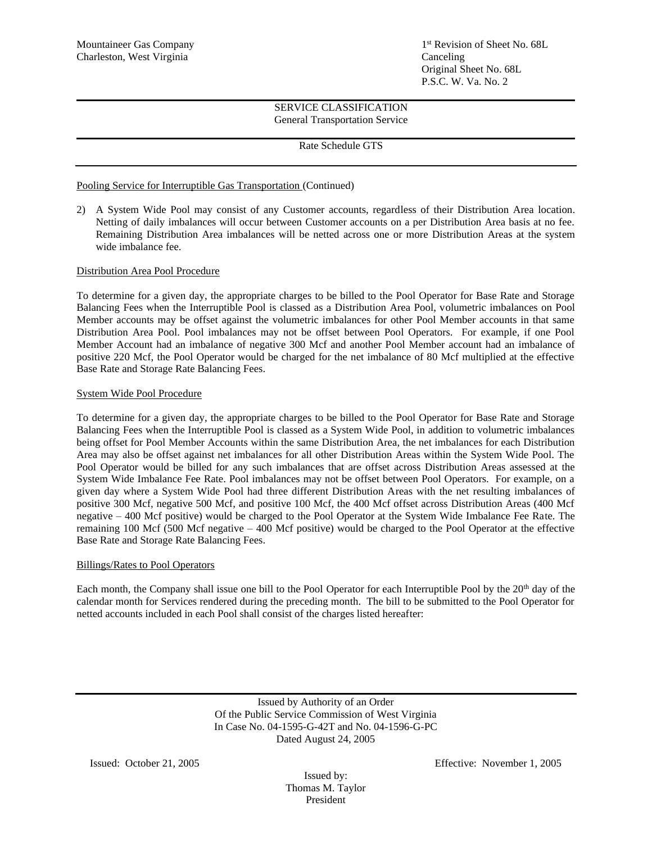1<sup>st</sup> Revision of Sheet No. 68L Original Sheet No. 68L P.S.C. W. Va. No. 2

# SERVICE CLASSIFICATION General Transportation Service

## Rate Schedule GTS

## Pooling Service for Interruptible Gas Transportation (Continued)

2) A System Wide Pool may consist of any Customer accounts, regardless of their Distribution Area location. Netting of daily imbalances will occur between Customer accounts on a per Distribution Area basis at no fee. Remaining Distribution Area imbalances will be netted across one or more Distribution Areas at the system wide imbalance fee.

## Distribution Area Pool Procedure

To determine for a given day, the appropriate charges to be billed to the Pool Operator for Base Rate and Storage Balancing Fees when the Interruptible Pool is classed as a Distribution Area Pool, volumetric imbalances on Pool Member accounts may be offset against the volumetric imbalances for other Pool Member accounts in that same Distribution Area Pool. Pool imbalances may not be offset between Pool Operators. For example, if one Pool Member Account had an imbalance of negative 300 Mcf and another Pool Member account had an imbalance of positive 220 Mcf, the Pool Operator would be charged for the net imbalance of 80 Mcf multiplied at the effective Base Rate and Storage Rate Balancing Fees.

#### System Wide Pool Procedure

To determine for a given day, the appropriate charges to be billed to the Pool Operator for Base Rate and Storage Balancing Fees when the Interruptible Pool is classed as a System Wide Pool, in addition to volumetric imbalances being offset for Pool Member Accounts within the same Distribution Area, the net imbalances for each Distribution Area may also be offset against net imbalances for all other Distribution Areas within the System Wide Pool. The Pool Operator would be billed for any such imbalances that are offset across Distribution Areas assessed at the System Wide Imbalance Fee Rate. Pool imbalances may not be offset between Pool Operators. For example, on a given day where a System Wide Pool had three different Distribution Areas with the net resulting imbalances of positive 300 Mcf, negative 500 Mcf, and positive 100 Mcf, the 400 Mcf offset across Distribution Areas (400 Mcf negative – 400 Mcf positive) would be charged to the Pool Operator at the System Wide Imbalance Fee Rate. The remaining 100 Mcf (500 Mcf negative – 400 Mcf positive) would be charged to the Pool Operator at the effective Base Rate and Storage Rate Balancing Fees.

#### Billings/Rates to Pool Operators

Each month, the Company shall issue one bill to the Pool Operator for each Interruptible Pool by the 20<sup>th</sup> day of the calendar month for Services rendered during the preceding month. The bill to be submitted to the Pool Operator for netted accounts included in each Pool shall consist of the charges listed hereafter:

> Issued by Authority of an Order Of the Public Service Commission of West Virginia In Case No. 04-1595-G-42T and No. 04-1596-G-PC Dated August 24, 2005

Issued by: Thomas M. Taylor President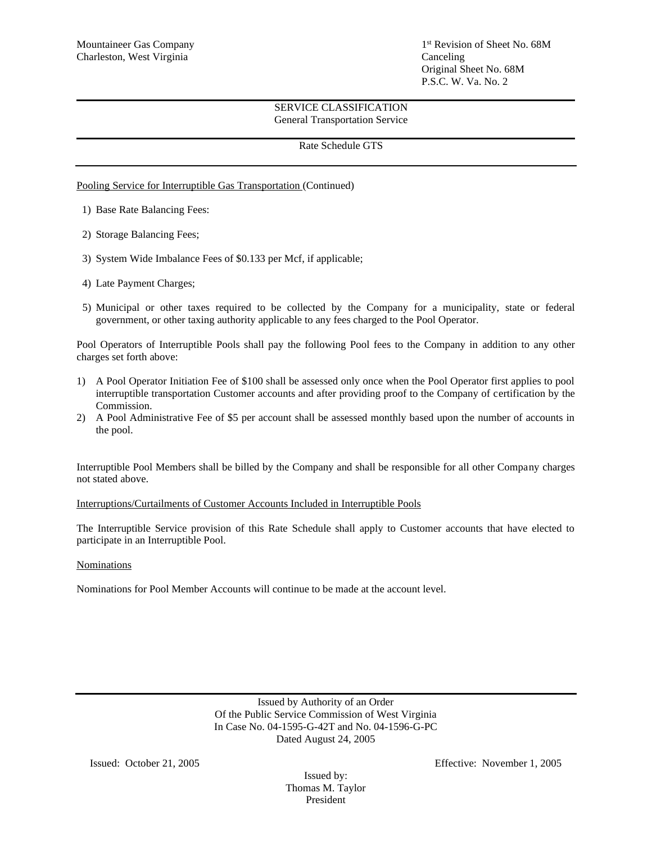1<sup>st</sup> Revision of Sheet No. 68M Original Sheet No. 68M P.S.C. W. Va. No. 2

# SERVICE CLASSIFICATION General Transportation Service

## Rate Schedule GTS

### Pooling Service for Interruptible Gas Transportation (Continued)

- 1) Base Rate Balancing Fees:
- 2) Storage Balancing Fees;
- 3) System Wide Imbalance Fees of \$0.133 per Mcf, if applicable;
- 4) Late Payment Charges;
- 5) Municipal or other taxes required to be collected by the Company for a municipality, state or federal government, or other taxing authority applicable to any fees charged to the Pool Operator.

Pool Operators of Interruptible Pools shall pay the following Pool fees to the Company in addition to any other charges set forth above:

- 1) A Pool Operator Initiation Fee of \$100 shall be assessed only once when the Pool Operator first applies to pool interruptible transportation Customer accounts and after providing proof to the Company of certification by the Commission.
- 2) A Pool Administrative Fee of \$5 per account shall be assessed monthly based upon the number of accounts in the pool.

Interruptible Pool Members shall be billed by the Company and shall be responsible for all other Company charges not stated above.

#### Interruptions/Curtailments of Customer Accounts Included in Interruptible Pools

The Interruptible Service provision of this Rate Schedule shall apply to Customer accounts that have elected to participate in an Interruptible Pool.

### Nominations

Nominations for Pool Member Accounts will continue to be made at the account level.

Issued by Authority of an Order Of the Public Service Commission of West Virginia In Case No. 04-1595-G-42T and No. 04-1596-G-PC Dated August 24, 2005

Issued by: Thomas M. Taylor President